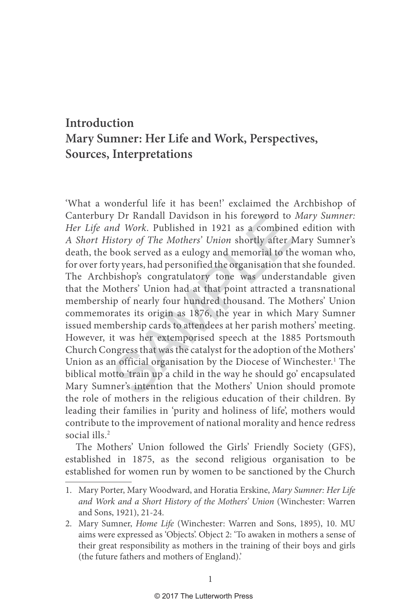## **Introduction Mary Sumner: Her Life and Work, Perspectives, Sources, Interpretations**

y Dr Randall Davidson in his foreword to<br>
nd Work. Published in 1921 as a combinee<br>
istory of The Mothers' Union shortly after N<br>
book served as a eulogy and memorial to th<br>
ty years, had personified the organisation tha<br> 'What a wonderful life it has been!' exclaimed the Archbishop of Canterbury Dr Randall Davidson in his foreword to Mary Sumner: Her Life and Work. Published in 1921 as a combined edition with A Short History of The Mothers' Union shortly after Mary Sumner's death, the book served as a eulogy and memorial to the woman who, for over forty years, had personified the organisation that she founded. The Archbishop's congratulatory tone was understandable given that the Mothers' Union had at that point attracted a transnational membership of nearly four hundred thousand. The Mothers' Union commemorates its origin as 1876, the year in which Mary Sumner issued membership cards to attendees at her parish mothers' meeting. However, it was her extemporised speech at the 1885 Portsmouth Church Congress that was the catalyst for the adoption of the Mothers' Union as an official organisation by the Diocese of Winchester. 1 The biblical motto 'train up a child in the way he should go' encapsulated Mary Sumner's intention that the Mothers' Union should promote the role of mothers in the religious education of their children. By leading their families in 'purity and holiness of life', mothers would contribute to the improvement of national morality and hence redress social ills. 2

The Mothers' Union followed the Girls' Friendly Society (GFS), established in 1875, as the second religious organisation to be established for women run by women to be sanctioned by the Church

<sup>1.</sup> Mary Porter, Mary Woodward, and Horatia Erskine, Mary Sumner: Her Life and Work and a Short History of the Mothers' Union (Winchester: Warren and Sons, 1921), 21-24.

<sup>2.</sup> Mary Sumner, Home Life (Winchester: Warren and Sons, 1895), 10. MU aims were expressed as 'Objects'. Object 2: 'To awaken in mothers a sense of their great responsibility as mothers in the training of their boys and girls (the future fathers and mothers of England).'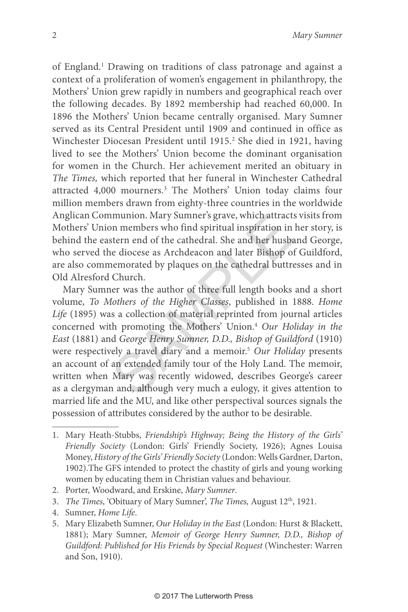of England. 1 Drawing on traditions of class patronage and against a context of a proliferation of women's engagement in philanthropy, the Mothers' Union grew rapidly in numbers and geographical reach over the following decades. By 1892 membership had reached 60,000. In 1896 the Mothers' Union became centrally organised. Mary Sumner served as its Central President until 1909 and continued in office as Winchester Diocesan President until 1915. 2 She died in 1921, having lived to see the Mothers' Union become the dominant organisation for women in the Church. Her achievement merited an obituary in The Times, which reported that her funeral in Winchester Cathedral attracted 4,000 mourners. 3 The Mothers' Union today claims four million members drawn from eighty-three countries in the worldwide Anglican Communion. Mary Sumner's grave, which attracts visits from Mothers' Union members who find spiritual inspiration in her story, is behind the eastern end of the cathedral. She and her husband George, who served the diocese as Archdeacon and later Bishop of Guildford, are also commemorated by plaques on the cathedral buttresses and in Old Alresford Church.

munion. Mary Sumner's grave, which attracts<br>on members who find spiritual inspiration in<br>stern end of the cathedral. She and her husbe<br>e diocese as Archdeacon and later Bishop of<br>nemorated by plaques on the cathedral buttr Mary Sumner was the author of three full length books and a short volume, To Mothers of the Higher Classes, published in 1888. Home Life (1895) was a collection of material reprinted from journal articles concerned with promoting the Mothers' Union. 4 Our Holiday in the East (1881) and George Henry Sumner, D.D., Bishop of Guildford (1910) were respectively a travel diary and a memoir. <sup>5</sup> Our Holiday presents an account of an extended family tour of the Holy Land. The memoir, written when Mary was recently widowed, describes George's career as a clergyman and, although very much a eulogy, it gives attention to married life and the MU, and like other perspectival sources signals the possession of attributes considered by the author to be desirable.

- 2. Porter, Woodward, and Erskine, Mary Sumner.
- 3. The Times, 'Obituary of Mary Sumner', The Times, August 12<sup>th</sup>, 1921.
- 4. Sumner, Home Life.
- 5. Mary Elizabeth Sumner, Our Holiday in the East (London: Hurst & Blackett, 1881); Mary Sumner, Memoir of George Henry Sumner, D.D., Bishop of Guildford: Published for His Friends by Special Request (Winchester: Warren and Son, 1910).

<sup>1.</sup> Mary Heath-Stubbs, Friendship's Highway; Being the History of the Girls' Friendly Society (London: Girls' Friendly Society, 1926); Agnes Louisa Money, History of the Girls' Friendly Society (London: Wells Gardner, Darton, 1902).The GFS intended to protect the chastity of girls and young working women by educating them in Christian values and behaviour.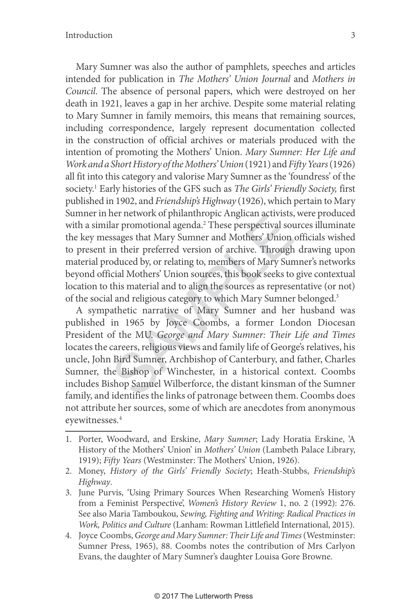Mary Sumner was also the author of pamphlets, speeches and articles intended for publication in The Mothers' Union Journal and Mothers in Council. The absence of personal papers, which were destroyed on her death in 1921, leaves a gap in her archive. Despite some material relating to Mary Sumner in family memoirs, this means that remaining sources, including correspondence, largely represent documentation collected in the construction of official archives or materials produced with the intention of promoting the Mothers' Union. Mary Sumner: Her Life and Work and a Short History of the Mothers' Union (1921) and Fifty Years (1926) all fit into this category and valorise Mary Sumner as the 'foundress' of the society.<sup>1</sup> Early histories of the GFS such as The Girls' Friendly Society, first published in 1902, and Friendship's Highway (1926), which pertain to Mary Sumner in her network of philanthropic Anglican activists, were produced with a similar promotional agenda. 2 These perspectival sources illuminate the key messages that Mary Sumner and Mothers' Union officials wished to present in their preferred version of archive. Through drawing upon material produced by, or relating to, members of Mary Sumner's networks beyond official Mothers' Union sources, this book seeks to give contextual location to this material and to align the sources as representative (or not) of the social and religious category to which Mary Sumner belonged. 3

Therefore is promotional agenda.<sup>2</sup> These perspectival sot ssages that Mary Sumner and Mothers' Union<br>in their preferred version of archive. Through<br>oduced by, or relating to, members of Mary Suncial Mothers' Union sources A sympathetic narrative of Mary Sumner and her husband was published in 1965 by Joyce Coombs, a former London Diocesan President of the MU. George and Mary Sumner: Their Life and Times locates the careers, religious views and family life of George's relatives, his uncle, John Bird Sumner, Archbishop of Canterbury, and father, Charles Sumner, the Bishop of Winchester, in a historical context. Coombs includes Bishop Samuel Wilberforce, the distant kinsman of the Sumner family, and identifies the links of patronage between them. Coombs does not attribute her sources, some of which are anecdotes from anonymous eyewitnesses . 4

- 1. Porter, Woodward, and Erskine, Mary Sumner; Lady Horatia Erskine, 'A History of the Mothers' Union' in Mothers' Union (Lambeth Palace Library, 1919); Fifty Years (Westminster: The Mothers' Union, 1926).
- 2. Money, History of the Girls' Friendly Society; Heath-Stubbs, Friendship's Highway .
- 3. June Purvis, 'Using Primary Sources When Researching Women's History from a Feminist Perspective', Women's History Review 1, no. 2 (1992): 276. See also Maria Tamboukou, Sewing, Fighting and Writing: Radical Practices in Work, Politics and Culture (Lanham: Rowman Littlefield International, 2015).
- 4. Joyce Coombs, George and Mary Sumner: Their Life and Times (Westminster: Sumner Press, 1965), 88. Coombs notes the contribution of Mrs Carlyon Evans, the daughter of Mary Sumner's daughter Louisa Gore Browne.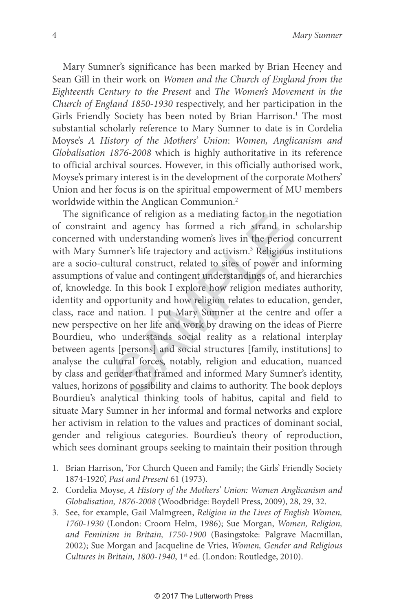Mary Sumner's significance has been marked by Brian Heeney and Sean Gill in their work on Women and the Church of England from the Eighteenth Century to the Present and The Women's Movement in the Church of England 1850-1930 respectively, and her participation in the Girls Friendly Society has been noted by Brian Harrison. 1 The most substantial scholarly reference to Mary Sumner to date is in Cordelia Moyse's A History of the Mothers' Union: Women, Anglicanism and Globalisation 1876-2008 which is highly authoritative in its reference to official archival sources. However, in this officially authorised work, Moyse's primary interest is in the development of the corporate Mothers' Union and her focus is on the spiritual empowerment of MU members worldwide within the Anglican Communion. 2

ance of rengion as a mediating factor in the<br>and agency has formed a rich strand in<br>th understanding women's lives in the period<br>mner's life trajectory and activism.<sup>3</sup> Religious<br>Itural construct, related to sites of power The significance of religion as a mediating factor in the negotiation of constraint and agency has formed a rich strand in scholarship concerned with understanding women's lives in the period concurrent with Mary Sumner's life trajectory and activism. 3 Religious institutions are a socio-cultural construct, related to sites of power and informing assumptions of value and contingent understandings of, and hierarchies of, knowledge. In this book I explore how religion mediates authority, identity and opportunity and how religion relates to education, gender, class, race and nation. I put Mary Sumner at the centre and offer a new perspective on her life and work by drawing on the ideas of Pierre Bourdieu, who understands social reality as a relational interplay between agents [persons] and social structures [family, institutions] to analyse the cultural forces, notably, religion and education, nuanced by class and gender that framed and informed Mary Sumner's identity, values, horizons of possibility and claims to authority. The book deploys Bourdieu's analytical thinking tools of habitus, capital and field to situate Mary Sumner in her informal and formal networks and explore her activism in relation to the values and practices of dominant social, gender and religious categories. Bourdieu's theory of reproduction, which sees dominant groups seeking to maintain their position through

<sup>1.</sup> Brian Harrison, 'For Church Queen and Family; the Girls' Friendly Society 1874-1920', Past and Present 61 (1973).

<sup>2.</sup> Cordelia Moyse, A History of the Mothers' Union: Women Anglicanism and Globalisation, 1876-2008 (Woodbridge: Boydell Press, 2009), 28, 29, 32.

<sup>3.</sup> See, for example, Gail Malmgreen, Religion in the Lives of English Women, 1760-1930 (London: Croom Helm, 1986); Sue Morgan, Women, Religion, and Feminism in Britain, 1750-1900 (Basingstoke: Palgrave Macmillan, 2002); Sue Morgan and Jacqueline de Vries, Women, Gender and Religious Cultures in Britain, 1800-1940, 1<sup>st</sup> ed. (London: Routledge, 2010).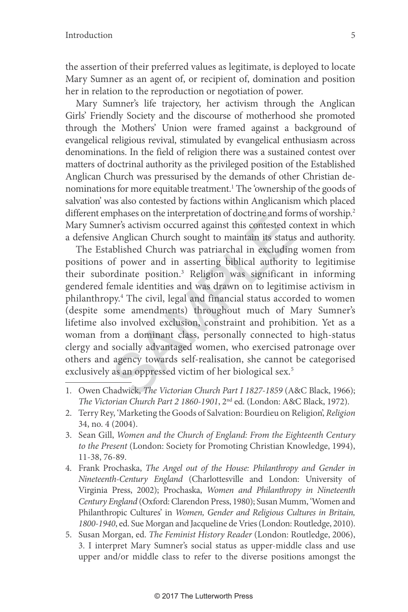the assertion of their preferred values as legitimate, is deployed to locate Mary Sumner as an agent of, or recipient of, domination and position her in relation to the reproduction or negotiation of power.

Mary Sumner's life trajectory, her activism through the Anglican Girls' Friendly Society and the discourse of motherhood she promoted through the Mothers' Union were framed against a background of evangelical religious revival, stimulated by evangelical enthusiasm across denominations. In the field of religion there was a sustained contest over matters of doctrinal authority as the privileged position of the Established Anglican Church was pressurised by the demands of other Christian denominations for more equitable treatment.<sup>1</sup> The 'ownership of the goods of salvation' was also contested by factions within Anglicanism which placed different emphases on the interpretation of doctrine and forms of worship.<sup>2</sup> Mary Sumner's activism occurred against this contested context in which a defensive Anglican Church sought to maintain its status and authority.

phases on the interpretation of doctrine and for<br>her's activism occurred against this contested co<br>Anglican Church sought to maintain its status<br>ablished Church was patriarchal in excluding<br>of power and in asserting biblic The Established Church was patriarchal in excluding women from positions of power and in asserting biblical authority to legitimise their subordinate position. 3 Religion was significant in informing gendered female identities and was drawn on to legitimise activism in philanthropy. 4 The civil, legal and financial status accorded to women (despite some amendments) throughout much of Mary Sumner's lifetime also involved exclusion, constraint and prohibition. Yet as a woman from a dominant class, personally connected to high-status clergy and socially advantaged women, who exercised patronage over others and agency towards self-realisation, she cannot be categorised exclusively as an oppressed victim of her biological sex. 5

<sup>1.</sup> Owen Chadwick, The Victorian Church Part I 1827-1859 (A&C Black, 1966); The Victorian Church Part 2 1860-1901, 2nd ed. (London: A&C Black, 1972).

<sup>2.</sup> Terry Rey, 'Marketing the Goods of Salvation: Bourdieu on Religion', Religion 34, no. 4 (2004).

<sup>3.</sup> Sean Gill, Women and the Church of England: From the Eighteenth Century to the Present (London: Society for Promoting Christian Knowledge, 1994), 11-38, 76-89.

<sup>4.</sup> Frank Prochaska, The Angel out of the House: Philanthropy and Gender in Nineteenth-Century England (Charlottesville and London: University of Virginia Press, 2002); Prochaska, Women and Philanthropy in Nineteenth Century England (Oxford: Clarendon Press, 1980); Susan Mumm, 'Women and Philanthropic Cultures' in Women, Gender and Religious Cultures in Britain, 1800-1940, ed. Sue Morgan and Jacqueline de Vries (London: Routledge, 2010).

<sup>5.</sup> Susan Morgan, ed. The Feminist History Reader (London: Routledge, 2006), 3. I interpret Mary Sumner's social status as upper-middle class and use upper and/or middle class to refer to the diverse positions amongst the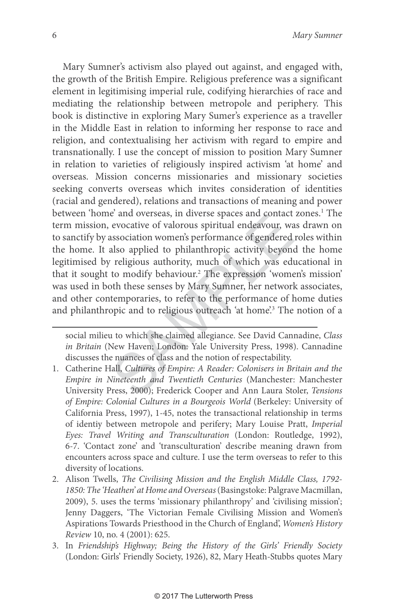e and overseas, in diverse spaces and contact<br>evocative of valorous spiritual endeavour, wa<br>association women's performance of gendered<br>also applied to philanthropic activity beyond<br>religious authority, much of which was e Mary Sumner's activism also played out against, and engaged with, the growth of the British Empire. Religious preference was a significant element in legitimising imperial rule, codifying hierarchies of race and mediating the relationship between metropole and periphery. This book is distinctive in exploring Mary Sumer's experience as a traveller in the Middle East in relation to informing her response to race and religion, and contextualising her activism with regard to empire and transnationally. I use the concept of mission to position Mary Sumner in relation to varieties of religiously inspired activism 'at home' and overseas. Mission concerns missionaries and missionary societies seeking converts overseas which invites consideration of identities (racial and gendered), relations and transactions of meaning and power between 'home' and overseas, in diverse spaces and contact zones. 1 The term mission, evocative of valorous spiritual endeavour, was drawn on to sanctify by association women's performance of gendered roles within the home. It also applied to philanthropic activity beyond the home legitimised by religious authority, much of which was educational in that it sought to modify behaviour. 2 The expression 'women's mission' was used in both these senses by Mary Sumner, her network associates, and other contemporaries, to refer to the performance of home duties and philanthropic and to religious outreach 'at home'. 3 The notion of a

social milieu to which she claimed allegiance. See David Cannadine, Class in Britain (New Haven; London: Yale University Press, 1998). Cannadine discusses the nuances of class and the notion of respectability.

- 1. Catherine Hall, Cultures of Empire: A Reader: Colonisers in Britain and the Empire in Nineteenth and Twentieth Centuries (Manchester: Manchester University Press, 2000); Frederick Cooper and Ann Laura Stoler, Tensions of Empire: Colonial Cultures in a Bourgeois World (Berkeley: University of California Press, 1997), 1-45, notes the transactional relationship in terms of identiy between metropole and perifery; Mary Louise Pratt, Imperial Eyes: Travel Writing and Transculturation (London: Routledge, 1992), 6-7. 'Contact zone' and 'transculturation' describe meaning drawn from encounters across space and culture. I use the term overseas to refer to this diversity of locations.
- 2. Alison Twells, The Civilising Mission and the English Middle Class, 1792- 1850: The 'Heathen' at Home and Overseas (Basingstoke: Palgrave Macmillan, 2009), 5. uses the terms 'missionary philanthropy' and 'civilising mission'; Jenny Daggers, 'The Victorian Female Civilising Mission and Women's Aspirations Towards Priesthood in the Church of England', Women's History Review 10, no. 4 (2001): 625.
- 3. In Friendship's Highway; Being the History of the Girls' Friendly Society (London: Girls' Friendly Society, 1926), 82, Mary Heath-Stubbs quotes Mary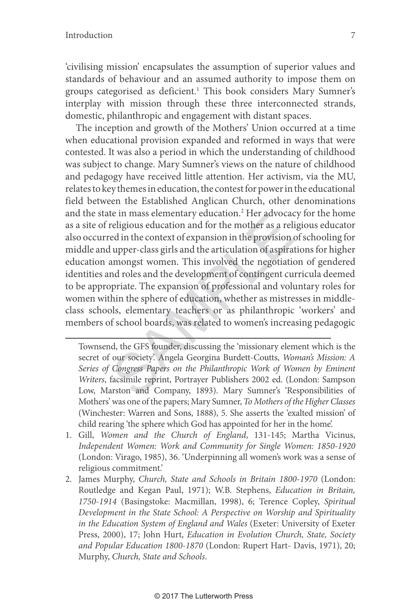'civilising mission' encapsulates the assumption of superior values and standards of behaviour and an assumed authority to impose them on groups categorised as deficient. 1 This book considers Mary Sumner's interplay with mission through these three interconnected strands, domestic, philanthropic and engagement with distant spaces.

re in mass elementary education. The advocate religious education and for the mother as a religious education and for the mother as a religious upper-class girls and the articulation of aspiral amongst women. This involved The inception and growth of the Mothers' Union occurred at a time when educational provision expanded and reformed in ways that were contested. It was also a period in which the understanding of childhood was subject to change. Mary Sumner's views on the nature of childhood and pedagogy have received little attention. Her activism, via the MU, relates to key themes in education, the contest for power in the educational field between the Established Anglican Church, other denominations and the state in mass elementary education.<sup>2</sup> Her advocacy for the home as a site of religious education and for the mother as a religious educator also occurred in the context of expansion in the provision of schooling for middle and upper-class girls and the articulation of aspirations for higher education amongst women. This involved the negotiation of gendered identities and roles and the development of contingent curricula deemed to be appropriate. The expansion of professional and voluntary roles for women within the sphere of education, whether as mistresses in middleclass schools, elementary teachers or as philanthropic 'workers' and members of school boards, was related to women's increasing pedagogic

Townsend, the GFS founder, discussing the 'missionary element which is the secret of our society'. Angela Georgina Burdett-Coutts, Woman's Mission: A Series of Congress Papers on the Philanthropic Work of Women by Eminent Writers, facsimile reprint, Portrayer Publishers 2002 ed. (London: Sampson Low, Marston and Company, 1893). Mary Sumner's 'Responsibilities of Mothers' was one of the papers; Mary Sumner, To Mothers of the Higher Classes (Winchester: Warren and Sons, 1888), 5. She asserts the 'exalted mission' of child rearing 'the sphere which God has appointed for her in the home'.

- 1. Gill, Women and the Church of England, 131-145; Martha Vicinus, Independent Women: Work and Community for Single Women: 1850-1920 (London: Virago, 1985), 36. 'Underpinning all women's work was a sense of religious commitment.'
- 2. James Murphy, Church, State and Schools in Britain 1800-1970 (London: Routledge and Kegan Paul, 1971); W.B. Stephens, Education in Britain, 1750-1914 (Basingstoke: Macmillan, 1998), 6; Terence Copley, Spiritual Development in the State School: A Perspective on Worship and Spirituality in the Education System of England and Wales (Exeter: University of Exeter Press, 2000), 17; John Hurt, Education in Evolution Church, State, Society and Popular Education 1800-1870 (London: Rupert Hart- Davis, 1971), 20; Murphy, Church, State and Schools .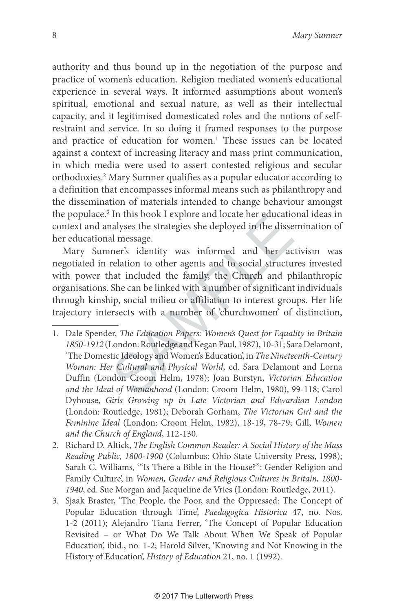authority and thus bound up in the negotiation of the purpose and practice of women's education. Religion mediated women's educational experience in several ways. It informed assumptions about women's spiritual, emotional and sexual nature, as well as their intellectual capacity, and it legitimised domesticated roles and the notions of selfrestraint and service. In so doing it framed responses to the purpose and practice of education for women. 1 These issues can be located against a context of increasing literacy and mass print communication, in which media were used to assert contested religious and secular orthodoxies. 2 Mary Sumner qualifies as a popular educator according to a definition that encompasses informal means such as philanthropy and the dissemination of materials intended to change behaviour amongst the populace. 3 In this book I explore and locate her educational ideas in context and analyses the strategies she deployed in the dissemination of her educational message.

In this book I explore and locate her education<br>allyses the strategies she deployed in the disse<br>all message.<br>ner's identity was informed and her ac<br>relation to other agents and to social structu<br>nat included the family, t Mary Sumner's identity was informed and her activism was negotiated in relation to other agents and to social structures invested with power that included the family, the Church and philanthropic organisations. She can be linked with a number of significant individuals through kinship, social milieu or affiliation to interest groups. Her life trajectory intersects with a number of 'churchwomen' of distinction,

- 1. Dale Spender, The Education Papers: Women's Quest for Equality in Britain 1850-1912 (London: Routledge and Kegan Paul, 1987), 10-31; Sara Delamont, 'The Domestic Ideology and Women's Education', in The Nineteenth-Century Woman: Her Cultural and Physical World, ed. Sara Delamont and Lorna Duffin (London Croom Helm, 1978); Joan Burstyn, Victorian Education and the Ideal of Womanhood (London: Croom Helm, 1980), 99-118; Carol Dyhouse, Girls Growing up in Late Victorian and Edwardian London (London: Routledge, 1981); Deborah Gorham, The Victorian Girl and the Feminine Ideal (London: Croom Helm, 1982), 18-19, 78-79; Gill, Women and the Church of England, 112-130.
- 2. Richard D. Altick, The English Common Reader: A Social History of the Mass Reading Public, 1800-1900 (Columbus: Ohio State University Press, 1998); Sarah C. Williams, "Is There a Bible in the House?": Gender Religion and Family Culture', in Women, Gender and Religious Cultures in Britain, 1800- 1940, ed. Sue Morgan and Jacqueline de Vries (London: Routledge, 2011).
- 3. Sjaak Braster, 'The People, the Poor, and the Oppressed: The Concept of Popular Education through Time', Paedagogica Historica 47, no. Nos. 1-2 (2011); Alejandro Tiana Ferrer, 'The Concept of Popular Education Revisited – or What Do We Talk About When We Speak of Popular Education', ibid., no. 1-2; Harold Silver, 'Knowing and Not Knowing in the History of Education', History of Education 21, no. 1 (1992).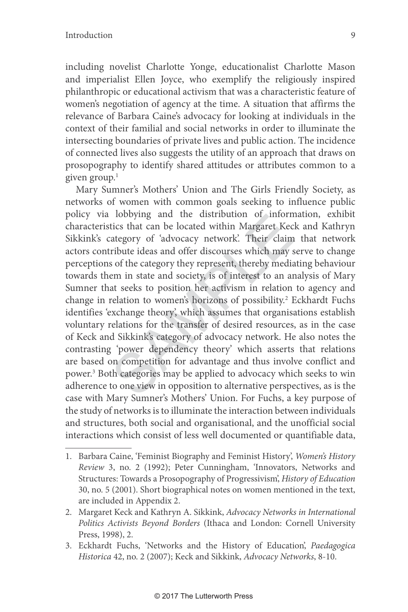including novelist Charlotte Yonge, educationalist Charlotte Mason and imperialist Ellen Joyce, who exemplify the religiously inspired philanthropic or educational activism that was a characteristic feature of women's negotiation of agency at the time. A situation that affirms the relevance of Barbara Caine's advocacy for looking at individuals in the context of their familial and social networks in order to illuminate the intersecting boundaries of private lives and public action. The incidence of connected lives also suggests the utility of an approach that draws on prosopography to identify shared attitudes or attributes common to a given group. 1

The distribution of inform<br>tics that can be located within Margaret Kec<br>ategory of 'advocacy network'. Their claim<br>ribute ideas and offer discourses which may s<br>s of the category they represent, thereby media<br>em in state a Mary Sumner's Mothers' Union and The Girls Friendly Society, as networks of women with common goals seeking to influence public policy via lobbying and the distribution of information, exhibit characteristics that can be located within Margaret Keck and Kathryn Sikkink's category of 'advocacy network'. Their claim that network actors contribute ideas and offer discourses which may serve to change perceptions of the category they represent, thereby mediating behaviour towards them in state and society, is of interest to an analysis of Mary Sumner that seeks to position her activism in relation to agency and change in relation to women's horizons of possibility. 2 Eckhardt Fuchs identifies 'exchange theory', which assumes that organisations establish voluntary relations for the transfer of desired resources, as in the case of Keck and Sikkink's category of advocacy network. He also notes the contrasting 'power dependency theory' which asserts that relations are based on competition for advantage and thus involve conflict and power. 3 Both categories may be applied to advocacy which seeks to win adherence to one view in opposition to alternative perspectives, as is the case with Mary Sumner's Mothers' Union. For Fuchs, a key purpose of the study of networks is to illuminate the interaction between individuals and structures, both social and organisational, and the unofficial social interactions which consist of less well documented or quantifiable data,

<sup>1.</sup> Barbara Caine, 'Feminist Biography and Feminist History', Women's History Review 3, no. 2 (1992); Peter Cunningham, 'Innovators, Networks and Structures: Towards a Prosopography of Progressivism', History of Education 30, no. 5 (2001). Short biographical notes on women mentioned in the text, are included in Appendix 2.

<sup>2.</sup> Margaret Keck and Kathryn A. Sikkink, Advocacy Networks in International Politics Activists Beyond Borders (Ithaca and London: Cornell University Press, 1998), 2.

<sup>3.</sup> Eckhardt Fuchs, 'Networks and the History of Education', Paedagogica Historica 42, no. 2 (2007); Keck and Sikkink, Advocacy Networks, 8-10.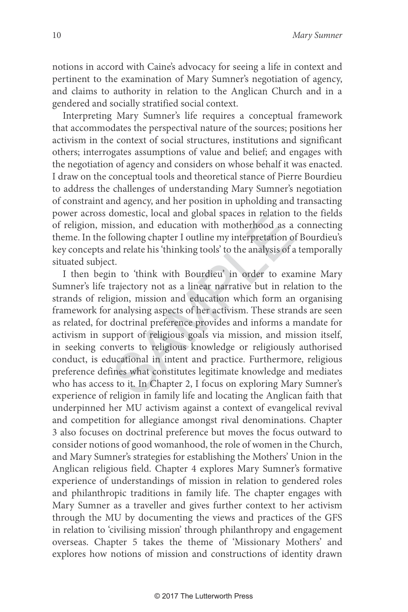notions in accord with Caine's advocacy for seeing a life in context and pertinent to the examination of Mary Sumner's negotiation of agency, and claims to authority in relation to the Anglican Church and in a gendered and socially stratified social context.

Interpreting Mary Sumner's life requires a conceptual framework that accommodates the perspectival nature of the sources; positions her activism in the context of social structures, institutions and significant others; interrogates assumptions of value and belief; and engages with the negotiation of agency and considers on whose behalf it was enacted. I draw on the conceptual tools and theoretical stance of Pierre Bourdieu to address the challenges of understanding Mary Sumner's negotiation of constraint and agency, and her position in upholding and transacting power across domestic, local and global spaces in relation to the fields of religion, mission, and education with motherhood as a connecting theme. In the following chapter I outline my interpretation of Bourdieu's key concepts and relate his 'thinking tools' to the analysis of a temporally situated subject.

ission, and education with motherhood as a<br>
sollowing chapter I outline my interpretation of<br>
nd relate his 'thinking tools' to the analysis of a<br>
t.<br>
n to 'think with Bourdieu' in order to exa<br>
trajectory not as a linear I then begin to 'think with Bourdieu' in order to examine Mary Sumner's life trajectory not as a linear narrative but in relation to the strands of religion, mission and education which form an organising framework for analysing aspects of her activism. These strands are seen as related, for doctrinal preference provides and informs a mandate for activism in support of religious goals via mission, and mission itself, in seeking converts to religious knowledge or religiously authorised conduct, is educational in intent and practice. Furthermore, religious preference defines what constitutes legitimate knowledge and mediates who has access to it. In Chapter 2, I focus on exploring Mary Sumner's experience of religion in family life and locating the Anglican faith that underpinned her MU activism against a context of evangelical revival and competition for allegiance amongst rival denominations. Chapter 3 also focuses on doctrinal preference but moves the focus outward to consider notions of good womanhood, the role of women in the Church, and Mary Sumner's strategies for establishing the Mothers' Union in the Anglican religious field. Chapter 4 explores Mary Sumner's formative experience of understandings of mission in relation to gendered roles and philanthropic traditions in family life. The chapter engages with Mary Sumner as a traveller and gives further context to her activism through the MU by documenting the views and practices of the GFS in relation to 'civilising mission' through philanthropy and engagement overseas. Chapter 5 takes the theme of 'Missionary Mothers' and explores how notions of mission and constructions of identity drawn